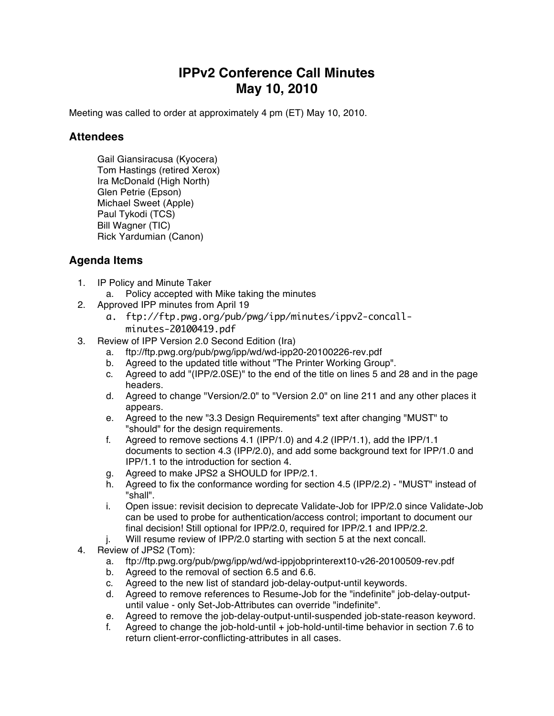## **IPPv2 Conference Call Minutes May 10, 2010**

Meeting was called to order at approximately 4 pm (ET) May 10, 2010.

## **Attendees**

Gail Giansiracusa (Kyocera) Tom Hastings (retired Xerox) Ira McDonald (High North) Glen Petrie (Epson) Michael Sweet (Apple) Paul Tykodi (TCS) Bill Wagner (TIC) Rick Yardumian (Canon)

## **Agenda Items**

- 1. IP Policy and Minute Taker
	- a. Policy accepted with Mike taking the minutes
- 2. Approved IPP minutes from April 19
	- a. ftp://ftp.pwg.org/pub/pwg/ipp/minutes/ippv2-concallminutes-20100419.pdf
- 3. Review of IPP Version 2.0 Second Edition (Ira)
	- a. ftp://ftp.pwg.org/pub/pwg/ipp/wd/wd-ipp20-20100226-rev.pdf
	- b. Agreed to the updated title without "The Printer Working Group".
	- c. Agreed to add "(IPP/2.0SE)" to the end of the title on lines 5 and 28 and in the page headers.
	- d. Agreed to change "Version/2.0" to "Version 2.0" on line 211 and any other places it appears.
	- e. Agreed to the new "3.3 Design Requirements" text after changing "MUST" to "should" for the design requirements.
	- f. Agreed to remove sections 4.1 (IPP/1.0) and 4.2 (IPP/1.1), add the IPP/1.1 documents to section 4.3 (IPP/2.0), and add some background text for IPP/1.0 and IPP/1.1 to the introduction for section 4.
	- g. Agreed to make JPS2 a SHOULD for IPP/2.1.
	- h. Agreed to fix the conformance wording for section 4.5 (IPP/2.2) "MUST" instead of "shall".
	- i. Open issue: revisit decision to deprecate Validate-Job for IPP/2.0 since Validate-Job can be used to probe for authentication/access control; important to document our final decision! Still optional for IPP/2.0, required for IPP/2.1 and IPP/2.2.
	- j. Will resume review of IPP/2.0 starting with section 5 at the next concall.
- 4. Review of JPS2 (Tom):
	- a. ftp://ftp.pwg.org/pub/pwg/ipp/wd/wd-ippjobprinterext10-v26-20100509-rev.pdf
	- b. Agreed to the removal of section 6.5 and 6.6.
	- c. Agreed to the new list of standard job-delay-output-until keywords.
	- d. Agreed to remove references to Resume-Job for the "indefinite" job-delay-outputuntil value - only Set-Job-Attributes can override "indefinite".
	- e. Agreed to remove the job-delay-output-until-suspended job-state-reason keyword.
	- f. Agreed to change the job-hold-until + job-hold-until-time behavior in section 7.6 to return client-error-conflicting-attributes in all cases.